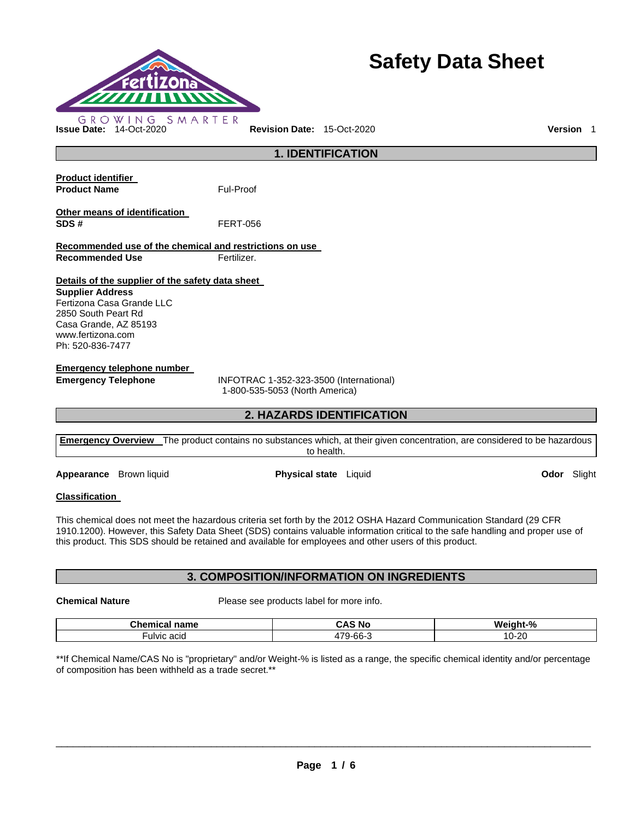

# **Safety Data Sheet**

**1. IDENTIFICATION Product identifier Product Name Ful-Proof** 

**Other means of identification SDS #** FERT-056

**Recommended use of the chemical and restrictions on use Recommended Use Fertilizer.** 

**Details of the supplier of the safety data sheet** 

**Supplier Address** Fertizona Casa Grande LLC 2850 South Peart Rd Casa Grande, AZ 85193 www.fertizona.com Ph: 520-836-7477

**Emergency telephone number** 

**Emergency Telephone** INFOTRAC 1-352-323-3500 (International) 1-800-535-5053 (North America)

# **2. HAZARDS IDENTIFICATION**

**Emergency Overview** The product contains no substances which, at their given concentration, are considered to be hazardous to health.

**Appearance** Brown liquid **Physical state** Liquid **Odor** Slight

# **Classification**

This chemical does not meet the hazardous criteria set forth by the 2012 OSHA Hazard Communication Standard (29 CFR 1910.1200). However, this Safety Data Sheet (SDS) contains valuable information critical to the safe handling and proper use of this product. This SDS should be retained and available for employees and other users of this product.

# **3. COMPOSITION/INFORMATION ON INGREDIENTS**

**Chemical Nature** Please see products label for more info.

| <b>Chamu</b><br>name<br>ь ан | ЗΑ.<br>N0            | $-\frac{9}{6}$<br>Wε<br>าเ                 |
|------------------------------|----------------------|--------------------------------------------|
| acıd<br>∙ulvic               | $\sim$<br>$-$<br>hh- | -20<br>$\overline{ }$<br>. .<br>ั∠เ<br>. . |

\*\*If Chemical Name/CAS No is "proprietary" and/or Weight-% is listed as a range, the specific chemical identity and/or percentage of composition has been withheld as a trade secret.\*\*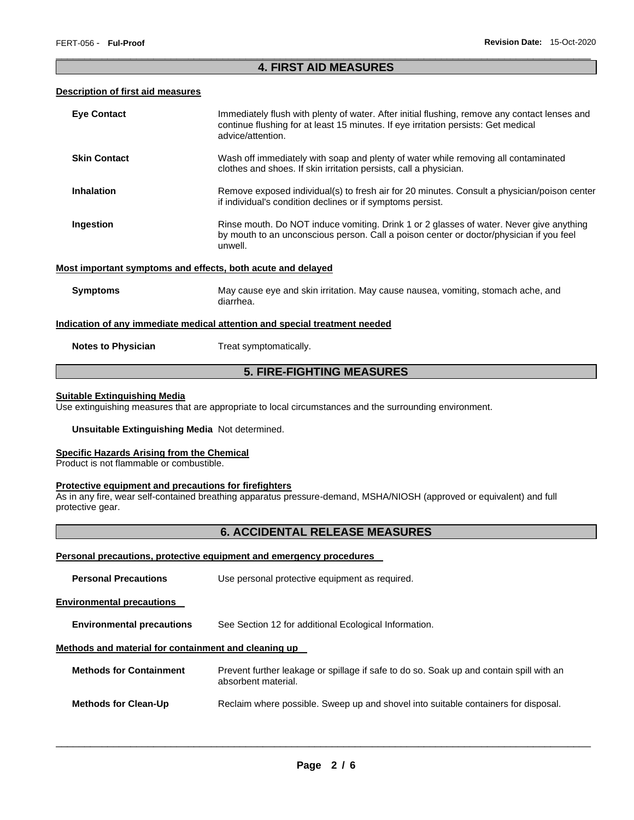# \_\_\_\_\_\_\_\_\_\_\_\_\_\_\_\_\_\_\_\_\_\_\_\_\_\_\_\_\_\_\_\_\_\_\_\_\_\_\_\_\_\_\_\_\_\_\_\_\_\_\_\_\_\_\_\_\_\_\_\_\_\_\_\_\_\_\_\_\_\_\_\_\_\_\_\_\_\_\_\_\_\_\_\_\_\_\_\_\_\_\_\_\_ **4. FIRST AID MEASURES**

#### **Description of first aid measures**

| <b>Eye Contact</b>                                                                | Immediately flush with plenty of water. After initial flushing, remove any contact lenses and<br>continue flushing for at least 15 minutes. If eye irritation persists: Get medical<br>advice/attention. |  |
|-----------------------------------------------------------------------------------|----------------------------------------------------------------------------------------------------------------------------------------------------------------------------------------------------------|--|
| <b>Skin Contact</b>                                                               | Wash off immediately with soap and plenty of water while removing all contaminated<br>clothes and shoes. If skin irritation persists, call a physician.                                                  |  |
| <b>Inhalation</b>                                                                 | Remove exposed individual(s) to fresh air for 20 minutes. Consult a physician/poison center<br>if individual's condition declines or if symptoms persist.                                                |  |
| Ingestion                                                                         | Rinse mouth. Do NOT induce vomiting. Drink 1 or 2 glasses of water. Never give anything<br>by mouth to an unconscious person. Call a poison center or doctor/physician if you feel<br>unwell.            |  |
| Most important symptoms and effects, both acute and delayed                       |                                                                                                                                                                                                          |  |
| <b>Symptoms</b>                                                                   | May cause eye and skin irritation. May cause nausea, vomiting, stomach ache, and<br>diarrhea.                                                                                                            |  |
| <u>Indication of any immediate medical attention and special treatment needed</u> |                                                                                                                                                                                                          |  |
| <b>Notes to Physician</b>                                                         | Treat symptomatically.                                                                                                                                                                                   |  |
| <b>5. FIRE-FIGHTING MEASURES</b>                                                  |                                                                                                                                                                                                          |  |

#### **Suitable Extinguishing Media**

Use extinguishing measures that are appropriate to local circumstances and the surrounding environment.

#### **Unsuitable Extinguishing Media** Not determined.

#### **Specific Hazards Arising from the Chemical**

Product is not flammable or combustible.

#### **Protective equipment and precautions for firefighters**

As in any fire, wear self-contained breathing apparatus pressure-demand, MSHA/NIOSH (approved or equivalent) and full protective gear.

# **6. ACCIDENTAL RELEASE MEASURES**

#### **Personal precautions, protective equipment and emergency procedures**

| <b>Personal Precautions</b>                          | Use personal protective equipment as required.                                                                 |  |  |
|------------------------------------------------------|----------------------------------------------------------------------------------------------------------------|--|--|
| <b>Environmental precautions</b>                     |                                                                                                                |  |  |
| <b>Environmental precautions</b>                     | See Section 12 for additional Ecological Information.                                                          |  |  |
| Methods and material for containment and cleaning up |                                                                                                                |  |  |
| <b>Methods for Containment</b>                       | Prevent further leakage or spillage if safe to do so. Soak up and contain spill with an<br>absorbent material. |  |  |
| <b>Methods for Clean-Up</b>                          | Reclaim where possible. Sweep up and shovel into suitable containers for disposal.                             |  |  |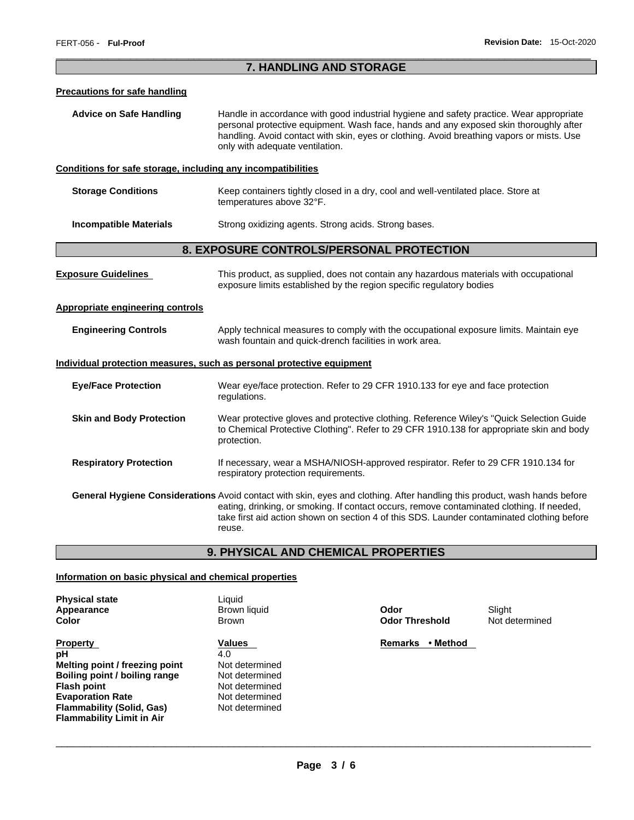# \_\_\_\_\_\_\_\_\_\_\_\_\_\_\_\_\_\_\_\_\_\_\_\_\_\_\_\_\_\_\_\_\_\_\_\_\_\_\_\_\_\_\_\_\_\_\_\_\_\_\_\_\_\_\_\_\_\_\_\_\_\_\_\_\_\_\_\_\_\_\_\_\_\_\_\_\_\_\_\_\_\_\_\_\_\_\_\_\_\_\_\_\_ **7. HANDLING AND STORAGE**

#### **Precautions for safe handling**

**Advice on Safe Handling** Handle in accordance with good industrial hygiene and safety practice. Wear appropriate personal protective equipment. Wash face, hands and any exposed skin thoroughly after handling. Avoid contact with skin, eyes or clothing. Avoid breathing vapors or mists. Use only with adequate ventilation.

#### **Conditions for safe storage, including any incompatibilities**

| <b>Storage Conditions</b> | Keep containers tightly closed in a dry, cool and well-ventilated place. Store at |
|---------------------------|-----------------------------------------------------------------------------------|
|                           | temperatures above 32°F.                                                          |
|                           |                                                                                   |

**Incompatible Materials Strong oxidizing agents. Strong acids. Strong bases.** 

# **8. EXPOSURE CONTROLS/PERSONAL PROTECTION**

| <b>Exposure Guidelines</b>       | This product, as supplied, does not contain any hazardous materials with occupational<br>exposure limits established by the region specific regulatory bodies                                                                                                                                                                  |  |
|----------------------------------|--------------------------------------------------------------------------------------------------------------------------------------------------------------------------------------------------------------------------------------------------------------------------------------------------------------------------------|--|
| Appropriate engineering controls |                                                                                                                                                                                                                                                                                                                                |  |
| <b>Engineering Controls</b>      | Apply technical measures to comply with the occupational exposure limits. Maintain eye<br>wash fountain and quick-drench facilities in work area.                                                                                                                                                                              |  |
|                                  | Individual protection measures, such as personal protective equipment                                                                                                                                                                                                                                                          |  |
| <b>Eye/Face Protection</b>       | Wear eye/face protection. Refer to 29 CFR 1910.133 for eye and face protection<br>regulations.                                                                                                                                                                                                                                 |  |
| <b>Skin and Body Protection</b>  | Wear protective gloves and protective clothing. Reference Wiley's "Quick Selection Guide"<br>to Chemical Protective Clothing". Refer to 29 CFR 1910.138 for appropriate skin and body<br>protection.                                                                                                                           |  |
| <b>Respiratory Protection</b>    | If necessary, wear a MSHA/NIOSH-approved respirator. Refer to 29 CFR 1910.134 for<br>respiratory protection requirements.                                                                                                                                                                                                      |  |
|                                  | General Hygiene Considerations Avoid contact with skin, eyes and clothing. After handling this product, wash hands before<br>eating, drinking, or smoking. If contact occurs, remove contaminated clothing. If needed,<br>take first aid action shown on section 4 of this SDS. Launder contaminated clothing before<br>reuse. |  |

# **9. PHYSICAL AND CHEMICAL PROPERTIES**

#### **Information on basic physical and chemical properties**

| <b>Physical state</b> |
|-----------------------|
| Appearance            |
| Color                 |

- **Property Contract Property Contract Property Contract Property Contract Property Contract Property Contract Property pH** 4.0 **Melting point / freezing point | Not determined Boiling point / boiling range Mot determined Flash point** Not determined **Evaporation Rate Not determined Flammability (Solid, Gas)** Not determined **Flammability Limit in Air**
- Liquid **Apple Trance In the Slight Contract Contract Contract Contract Contract Contract Contract Contract Contract Contract Contract Contract Contract Contract Contract Contract Contract Contract Contract Contract Contract Contr** 
	-

**Color** Brown **Odor Threshold** Not determined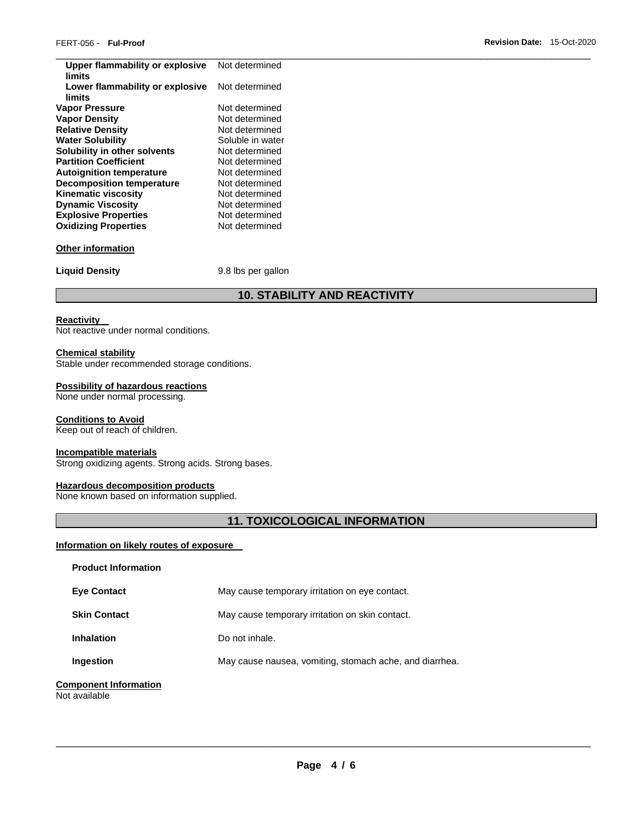| Upper flammability or explosive<br>limits | Not determined     |
|-------------------------------------------|--------------------|
| Lower flammability or explosive<br>limits | Not determined     |
| <b>Vapor Pressure</b>                     | Not determined     |
| <b>Vapor Density</b>                      | Not determined     |
| <b>Relative Density</b>                   | Not determined     |
| <b>Water Solubility</b>                   | Soluble in water   |
| Solubility in other solvents              | Not determined     |
| <b>Partition Coefficient</b>              | Not determined     |
| <b>Autoignition temperature</b>           | Not determined     |
| <b>Decomposition temperature</b>          | Not determined     |
| <b>Kinematic viscosity</b>                | Not determined     |
| <b>Dynamic Viscosity</b>                  | Not determined     |
| <b>Explosive Properties</b>               | Not determined     |
| <b>Oxidizing Properties</b>               | Not determined     |
| <b>Other information</b>                  |                    |
| <b>Liquid Density</b>                     | 9.8 lbs per gallon |
|                                           |                    |

# **10. STABILITY AND REACTIVITY**

#### **Reactivity**

Not reactive under normal conditions.

### **Chemical stability**

Stable under recommended storage conditions.

### **Possibility of hazardous reactions**

None under normal processing.

#### **Conditions to Avoid**

Keep out of reach of children.

#### **Incompatible materials**

Strong oxidizing agents. Strong acids. Strong bases.

#### **Hazardous decomposition products**

None known based on information supplied.

# **11. TOXICOLOGICAL INFORMATION**

#### **Information on likely routes of exposure**

| <b>Product Information</b>                    |                                                         |
|-----------------------------------------------|---------------------------------------------------------|
| <b>Eve Contact</b>                            | May cause temporary irritation on eye contact.          |
| <b>Skin Contact</b>                           | May cause temporary irritation on skin contact.         |
| <b>Inhalation</b>                             | Do not inhale.                                          |
| Ingestion                                     | May cause nausea, vomiting, stomach ache, and diarrhea. |
| <b>Component Information</b><br>Not available |                                                         |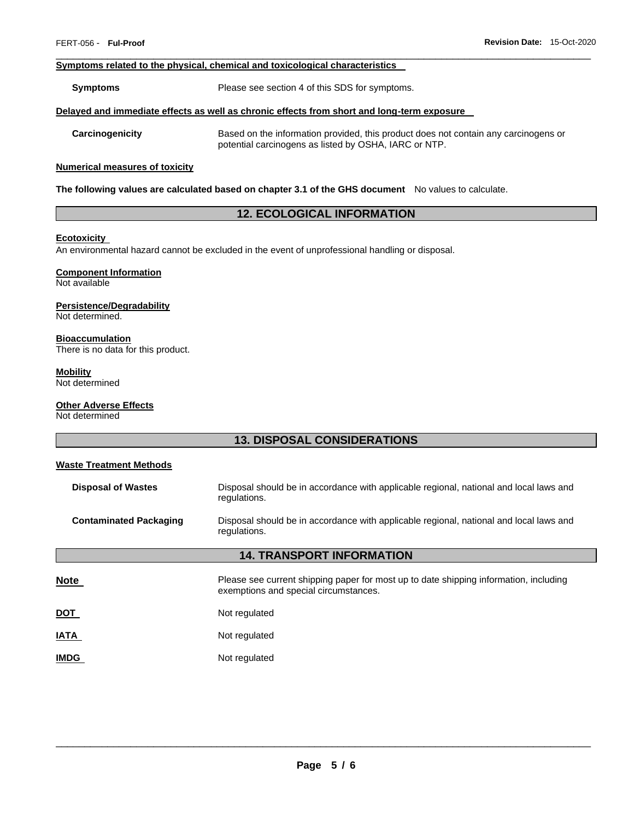#### **Symptoms related to the physical, chemical and toxicological characteristics**

**Symptoms** Please see section 4 of this SDS for symptoms.

#### **Delayed and immediate effects as well as chronic effects from short and long-term exposure**

**Carcinogenicity** Based on the information provided, this product does not contain any carcinogens or potential carcinogens as listed by OSHA, IARC or NTP.

#### **Numerical measures of toxicity**

**The following values are calculated based on chapter 3.1 of the GHS document** No values to calculate.

# **12. ECOLOGICAL INFORMATION**

\_\_\_\_\_\_\_\_\_\_\_\_\_\_\_\_\_\_\_\_\_\_\_\_\_\_\_\_\_\_\_\_\_\_\_\_\_\_\_\_\_\_\_\_\_\_\_\_\_\_\_\_\_\_\_\_\_\_\_\_\_\_\_\_\_\_\_\_\_\_\_\_\_\_\_\_\_\_\_\_\_\_\_\_\_\_\_\_\_\_\_\_\_

#### **Ecotoxicity**

An environmental hazard cannot be excluded in the event of unprofessional handling or disposal.

# **Component Information**

Not available

#### **Persistence/Degradability**

Not determined.

#### **Bioaccumulation**

There is no data for this product.

# **Mobility**

Not determined

# **Other Adverse Effects**

Not determined

# **13. DISPOSAL CONSIDERATIONS**

# **Waste Treatment Methods**

| <b>Disposal of Wastes</b>        | Disposal should be in accordance with applicable regional, national and local laws and<br>regulations.                         |  |
|----------------------------------|--------------------------------------------------------------------------------------------------------------------------------|--|
| <b>Contaminated Packaging</b>    | Disposal should be in accordance with applicable regional, national and local laws and<br>regulations.                         |  |
| <b>14. TRANSPORT INFORMATION</b> |                                                                                                                                |  |
| <b>Note</b>                      | Please see current shipping paper for most up to date shipping information, including<br>exemptions and special circumstances. |  |
| <u>DOT</u>                       | Not regulated                                                                                                                  |  |
| <b>IATA</b>                      | Not regulated                                                                                                                  |  |
| <b>IMDG</b>                      | Not regulated                                                                                                                  |  |